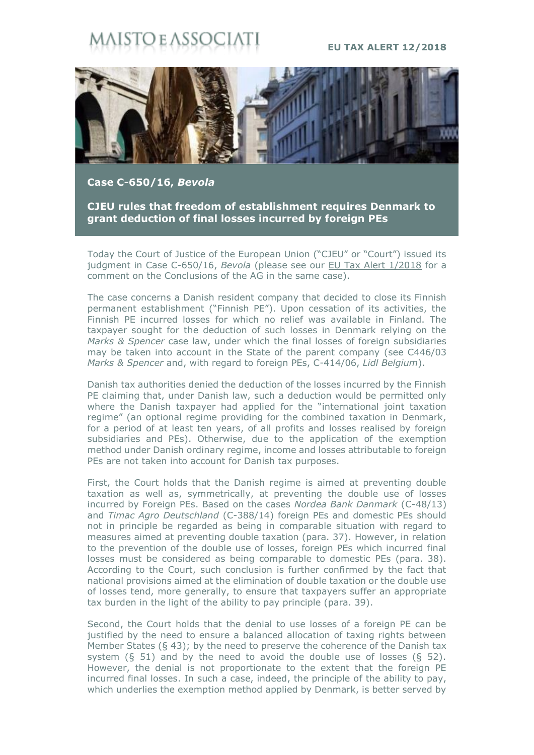## **STO E ASSOC**

## **EU TAX ALERT 12/2018**



**Case C-650/16,** *Bevola*

**CJEU rules that freedom of establishment requires Denmark to grant deduction of final losses incurred by foreign PEs**

Today the Court of Justice of the European Union ("CJEU" or "Court") issued its judgment in Case C-650/16, *Bevola* (please see our [EU Tax Alert 1/2018](https://www.maisto.it/it/newsletter/eu-tax-alert--32.html) for a comment on the Conclusions of the AG in the same case).

The case concerns a Danish resident company that decided to close its Finnish permanent establishment ("Finnish PE"). Upon cessation of its activities, the Finnish PE incurred losses for which no relief was available in Finland. The taxpayer sought for the deduction of such losses in Denmark relying on the *Marks & Spencer* case law, under which the final losses of foreign subsidiaries may be taken into account in the State of the parent company (see C446/03 *Marks & Spencer* and, with regard to foreign PEs, C-414/06, *Lidl Belgium*).

Danish tax authorities denied the deduction of the losses incurred by the Finnish PE claiming that, under Danish law, such a deduction would be permitted only where the Danish taxpayer had applied for the "international joint taxation regime" (an optional regime providing for the combined taxation in Denmark, for a period of at least ten years, of all profits and losses realised by foreign subsidiaries and PEs). Otherwise, due to the application of the exemption method under Danish ordinary regime, income and losses attributable to foreign PEs are not taken into account for Danish tax purposes.

First, the Court holds that the Danish regime is aimed at preventing double taxation as well as, symmetrically, at preventing the double use of losses incurred by Foreign PEs. Based on the cases *Nordea Bank Danmark* (C-48/13) and *Timac Agro Deutschland* (C-388/14) foreign PEs and domestic PEs should not in principle be regarded as being in comparable situation with regard to measures aimed at preventing double taxation (para. 37). However, in relation to the prevention of the double use of losses, foreign PEs which incurred final losses must be considered as being comparable to domestic PEs (para. 38). According to the Court, such conclusion is further confirmed by the fact that national provisions aimed at the elimination of double taxation or the double use of losses tend, more generally, to ensure that taxpayers suffer an appropriate tax burden in the light of the ability to pay principle (para. 39).

Second, the Court holds that the denial to use losses of a foreign PE can be justified by the need to ensure a balanced allocation of taxing rights between Member States (§ 43); by the need to preserve the coherence of the Danish tax system  $(8, 51)$  and by the need to avoid the double use of losses  $(8, 52)$ . However, the denial is not proportionate to the extent that the foreign PE incurred final losses. In such a case, indeed, the principle of the ability to pay, which underlies the exemption method applied by Denmark, is better served by